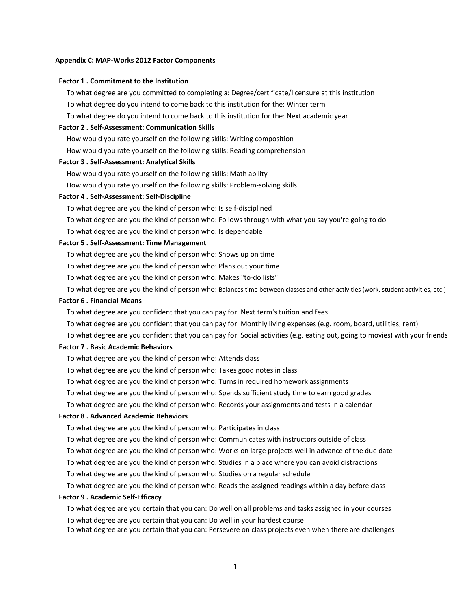#### **Appendix C: MAP‐Works 2012 Factor Components**

#### **Factor 1 . Commitment to the Institution**

To what degree are you committed to completing a: Degree/certificate/licensure at this institution To what degree do you intend to come back to this institution for the: Winter term

To what degree do you intend to come back to this institution for the: Next academic year

# **Factor 2 . Self‐Assessment: Communication Skills**

How would you rate yourself on the following skills: Writing composition

How would you rate yourself on the following skills: Reading comprehension

### **Factor 3 . Self‐Assessment: Analytical Skills**

How would you rate yourself on the following skills: Math ability

How would you rate yourself on the following skills: Problem‐solving skills

#### **Factor 4 . Self‐Assessment: Self‐Discipline**

To what degree are you the kind of person who: Is self‐disciplined

To what degree are you the kind of person who: Follows through with what you say you're going to do

To what degree are you the kind of person who: Is dependable

## **Factor 5 . Self‐Assessment: Time Management**

To what degree are you the kind of person who: Shows up on time

To what degree are you the kind of person who: Plans out your time

To what degree are you the kind of person who: Makes "to‐do lists"

To what degree are you the kind of person who: Balances time between classes and other activities (work, student activities, etc.)

## **Factor 6 . Financial Means**

To what degree are you confident that you can pay for: Next term's tuition and fees

To what degree are you confident that you can pay for: Monthly living expenses (e.g. room, board, utilities, rent)

To what degree are you confident that you can pay for: Social activities (e.g. eating out, going to movies) with your friends

## **Factor 7 . Basic Academic Behaviors**

To what degree are you the kind of person who: Attends class

To what degree are you the kind of person who: Takes good notes in class

To what degree are you the kind of person who: Turns in required homework assignments

To what degree are you the kind of person who: Spends sufficient study time to earn good grades

To what degree are you the kind of person who: Records your assignments and tests in a calendar

## **Factor 8 . Advanced Academic Behaviors**

To what degree are you the kind of person who: Participates in class

To what degree are you the kind of person who: Communicates with instructors outside of class

To what degree are you the kind of person who: Works on large projects well in advance of the due date

To what degree are you the kind of person who: Studies in a place where you can avoid distractions

To what degree are you the kind of person who: Studies on a regular schedule

To what degree are you the kind of person who: Reads the assigned readings within a day before class

## **Factor 9 . Academic Self‐Efficacy**

To what degree are you certain that you can: Do well on all problems and tasks assigned in your courses To what degree are you certain that you can: Do well in your hardest course

To what degree are you certain that you can: Persevere on class projects even when there are challenges